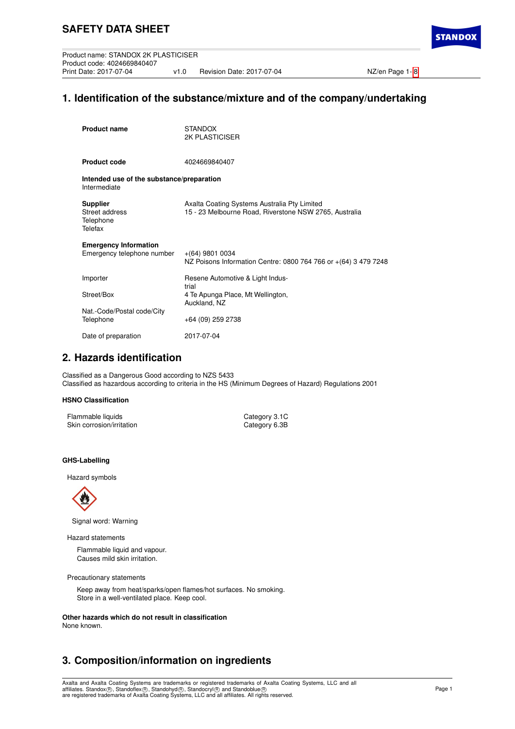**STANDO** 

# **1. Identification of the substance/mixture and of the company/undertaking**

| <b>Product name</b>                                        | <b>STANDOX</b><br><b>2K PLASTICISER</b>                                                                |
|------------------------------------------------------------|--------------------------------------------------------------------------------------------------------|
| <b>Product code</b>                                        | 4024669840407                                                                                          |
| Intended use of the substance/preparation<br>Intermediate  |                                                                                                        |
| <b>Supplier</b><br>Street address<br>Telephone<br>Telefax  | Axalta Coating Systems Australia Pty Limited<br>15 - 23 Melbourne Road, Riverstone NSW 2765, Australia |
| <b>Emergency Information</b><br>Emergency telephone number | $+(64)$ 9801 0034<br>NZ Poisons Information Centre: 0800 764 766 or +(64) 3 479 7248                   |
| Importer                                                   | Resene Automotive & Light Indus-<br>trial                                                              |
| Street/Box                                                 | 4 Te Apunga Place, Mt Wellington,<br>Auckland, NZ                                                      |
| Nat.-Code/Postal code/City<br>Telephone                    | +64 (09) 259 2738                                                                                      |
| Date of preparation                                        | 2017-07-04                                                                                             |

# **2. Hazards identification**

Classified as a Dangerous Good according to NZS 5433 Classified as hazardous according to criteria in the HS (Minimum Degrees of Hazard) Regulations 2001

## **HSNO Classification**

| Flammable liquids         | Category 3.1C |
|---------------------------|---------------|
| Skin corrosion/irritation | Category 6.3B |

## **GHS-Labelling**

Hazard symbols



Signal word: Warning

#### Hazard statements

Flammable liquid and vapour. Causes mild skin irritation.

Precautionary statements

Keep away from heat/sparks/open flames/hot surfaces. No smoking. Store in a well-ventilated place. Keep cool.

**Other hazards which do not result in classification** None known.

# **3. Composition/information on ingredients**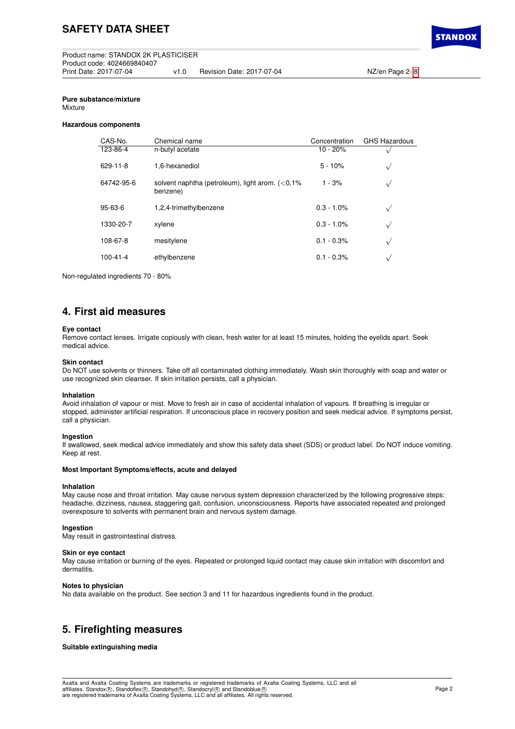## **Pure substance/mixture**

Mixture

#### **Hazardous components**

| CAS-No.        | Chemical name                                                  | Concentration | <b>GHS Hazardous</b> |
|----------------|----------------------------------------------------------------|---------------|----------------------|
| 123-86-4       | n-butyl acetate                                                | $10 - 20%$    | ν                    |
| 629-11-8       | 1.6-hexanediol                                                 | $5 - 10%$     | $\sqrt{}$            |
| 64742-95-6     | solvent naphtha (petroleum), light arom. $(<0.1\%$<br>benzene) | $1 - 3%$      | $\sqrt{ }$           |
| $95 - 63 - 6$  | 1,2,4-trimethylbenzene                                         | $0.3 - 1.0\%$ | $\sqrt{ }$           |
| 1330-20-7      | xylene                                                         | $0.3 - 1.0\%$ | $\sqrt{}$            |
| 108-67-8       | mesitylene                                                     | $0.1 - 0.3\%$ | $\sqrt{ }$           |
| $100 - 41 - 4$ | ethylbenzene                                                   | $0.1 - 0.3\%$ | $\sqrt{ }$           |

Non-regulated ingredients 70 - 80%

## **4. First aid measures**

#### **Eye contact**

Remove contact lenses. Irrigate copiously with clean, fresh water for at least 15 minutes, holding the eyelids apart. Seek medical advice.

#### **Skin contact**

Do NOT use solvents or thinners. Take off all contaminated clothing immediately. Wash skin thoroughly with soap and water or use recognized skin cleanser. If skin irritation persists, call a physician.

#### **Inhalation**

Avoid inhalation of vapour or mist. Move to fresh air in case of accidental inhalation of vapours. If breathing is irregular or stopped, administer artificial respiration. If unconscious place in recovery position and seek medical advice. If symptoms persist, call a physician.

### **Ingestion**

If swallowed, seek medical advice immediately and show this safety data sheet (SDS) or product label. Do NOT induce vomiting. Keep at rest.

## **Most Important Symptoms/effects, acute and delayed**

## **Inhalation**

May cause nose and throat irritation. May cause nervous system depression characterized by the following progressive steps: headache, dizziness, nausea, staggering gait, confusion, unconsciousness. Reports have associated repeated and prolonged overexposure to solvents with permanent brain and nervous system damage.

### **Ingestion**

May result in gastrointestinal distress.

## **Skin or eye contact**

May cause irritation or burning of the eyes. Repeated or prolonged liquid contact may cause skin irritation with discomfort and dermatitis.

## **Notes to physician**

No data available on the product. See section 3 and 11 for hazardous ingredients found in the product.

## **5. Firefighting measures**

### **Suitable extinguishing media**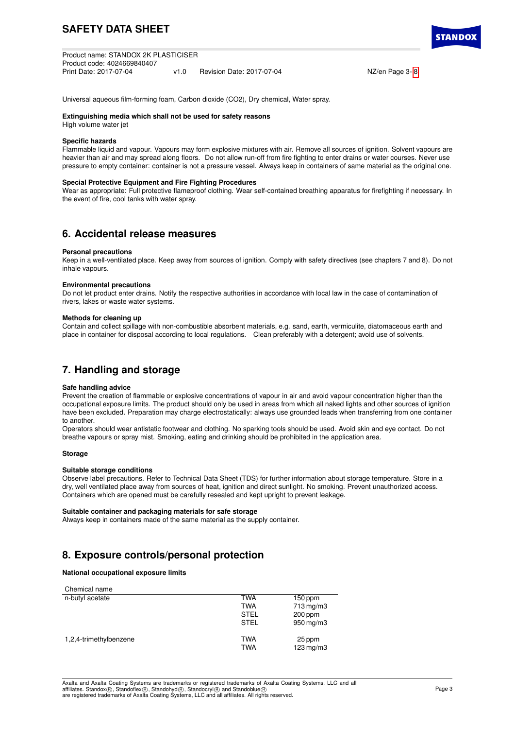| Product name: STANDOX 2K PLASTICISER |  |                           |
|--------------------------------------|--|---------------------------|
| Product code: 4024669840407          |  |                           |
| Print Date: 2017-07-04               |  | Revision Date: 2017-07-04 |

NZ/en Page 3- [8](#page-7-0)

**STANDO** 

Universal aqueous film-forming foam, Carbon dioxide (CO2), Dry chemical, Water spray.

#### **Extinguishing media which shall not be used for safety reasons**

High volume water jet

## **Specific hazards**

Flammable liquid and vapour. Vapours may form explosive mixtures with air. Remove all sources of ignition. Solvent vapours are heavier than air and may spread along floors. Do not allow run-off from fire fighting to enter drains or water courses. Never use pressure to empty container: container is not a pressure vessel. Always keep in containers of same material as the original one.

#### **Special Protective Equipment and Fire Fighting Procedures**

Wear as appropriate: Full protective flameproof clothing. Wear self-contained breathing apparatus for firefighting if necessary. In the event of fire, cool tanks with water spray.

## **6. Accidental release measures**

#### **Personal precautions**

Keep in a well-ventilated place. Keep away from sources of ignition. Comply with safety directives (see chapters 7 and 8). Do not inhale vapours.

#### **Environmental precautions**

Do not let product enter drains. Notify the respective authorities in accordance with local law in the case of contamination of rivers, lakes or waste water systems.

#### **Methods for cleaning up**

Contain and collect spillage with non-combustible absorbent materials, e.g. sand, earth, vermiculite, diatomaceous earth and place in container for disposal according to local regulations. Clean preferably with a detergent; avoid use of solvents.

## **7. Handling and storage**

### **Safe handling advice**

Prevent the creation of flammable or explosive concentrations of vapour in air and avoid vapour concentration higher than the occupational exposure limits. The product should only be used in areas from which all naked lights and other sources of ignition have been excluded. Preparation may charge electrostatically: always use grounded leads when transferring from one container to another.

Operators should wear antistatic footwear and clothing. No sparking tools should be used. Avoid skin and eye contact. Do not breathe vapours or spray mist. Smoking, eating and drinking should be prohibited in the application area.

### **Storage**

#### **Suitable storage conditions**

Observe label precautions. Refer to Technical Data Sheet (TDS) for further information about storage temperature. Store in a dry, well ventilated place away from sources of heat, ignition and direct sunlight. No smoking. Prevent unauthorized access. Containers which are opened must be carefully resealed and kept upright to prevent leakage.

#### **Suitable container and packaging materials for safe storage**

Always keep in containers made of the same material as the supply container.

## **8. Exposure controls/personal protection**

## **National occupational exposure limits**

| Chemical name          |             |                       |
|------------------------|-------------|-----------------------|
| n-butyl acetate        | <b>TWA</b>  | $150$ ppm             |
|                        | <b>TWA</b>  | $713 \,\mathrm{mg/m}$ |
|                        | <b>STEL</b> | $200$ ppm             |
|                        | <b>STEL</b> | 950 mg/m3             |
| 1,2,4-trimethylbenzene | <b>TWA</b>  | 25 ppm                |
|                        | <b>TWA</b>  | $123$ mg/m $3$        |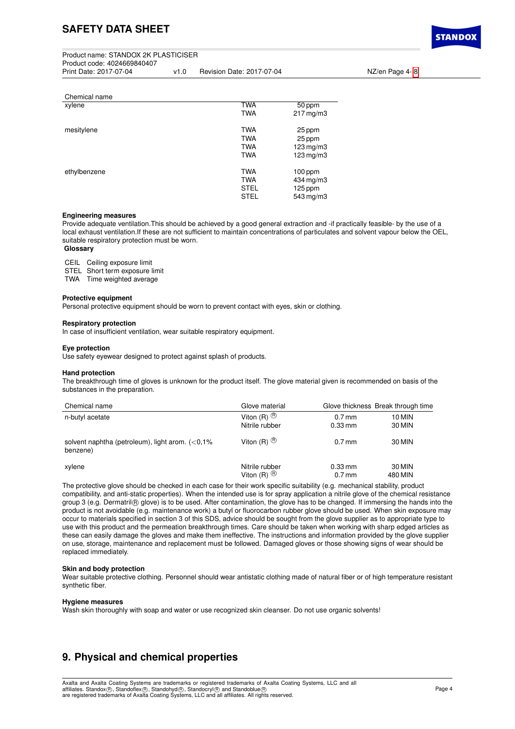| Product name: STANDOX 2K PLASTICISER |      |                           |
|--------------------------------------|------|---------------------------|
| Product code: 4024669840407          |      |                           |
| Print Date: 2017-07-04               | v1.0 | Revision Date: 2017-07-04 |

Print Date: 2017-07-07-08 v1.0 NZ/en Page 4- [8](#page-7-0)

| Chemical name |             |                        |
|---------------|-------------|------------------------|
| xylene        | TWA         | 50 ppm                 |
|               | <b>TWA</b>  | $217 \,\mathrm{mg/m3}$ |
| mesitylene    | <b>TWA</b>  | 25 ppm                 |
|               | <b>TWA</b>  | 25 ppm                 |
|               | <b>TWA</b>  | $123$ mg/m $3$         |
|               | <b>TWA</b>  | 123 mg/m3              |
| ethylbenzene  | <b>TWA</b>  | $100$ ppm              |
|               | <b>TWA</b>  | 434 mg/m3              |
|               | <b>STEL</b> | $125$ ppm              |
|               | <b>STEL</b> | 543 mg/m3              |

#### **Engineering measures**

Provide adequate ventilation.This should be achieved by a good general extraction and -if practically feasible- by the use of a local exhaust ventilation.If these are not sufficient to maintain concentrations of particulates and solvent vapour below the OEL, suitable respiratory protection must be worn.

## **Glossary**

CEIL Ceiling exposure limit

STEL Short term exposure limit

TWA Time weighted average

#### **Protective equipment**

Personal protective equipment should be worn to prevent contact with eyes, skin or clothing.

#### **Respiratory protection**

In case of insufficient ventilation, wear suitable respiratory equipment.

#### **Eye protection**

Use safety eyewear designed to protect against splash of products.

### **Hand protection**

The breakthrough time of gloves is unknown for the product itself. The glove material given is recommended on basis of the substances in the preparation.

| Chemical name                                                   | Glove material          |           | Glove thickness Break through time |
|-----------------------------------------------------------------|-------------------------|-----------|------------------------------------|
| n-butyl acetate                                                 | Viton $(R)$ $\circledR$ | 0.7 mm    | 10 MIN                             |
|                                                                 | Nitrile rubber          | $0.33$ mm | 30 MIN                             |
| solvent naphtha (petroleum), light arom. $(< 0.1\%$<br>benzene) | Viton $(R)$ $\circledR$ | $0.7$ mm  | 30 MIN                             |
| xylene                                                          | Nitrile rubber          | $0.33$ mm | 30 MIN                             |
|                                                                 | Viton $(R)$ $\circledR$ | $0.7$ mm  | 480 MIN                            |

The protective glove should be checked in each case for their work specific suitability (e.g. mechanical stability, product compatibility, and anti-static properties). When the intended use is for spray application a nitrile glove of the chemical resistance group 3 (e.g. Dermatril® glove) is to be used. After contamination, the glove has to be changed. If immersing the hands into the product is not avoidable (e.g. maintenance work) a butyl or fluorocarbon rubber glove should be used. When skin exposure may occur to materials specified in section 3 of this SDS, advice should be sought from the glove supplier as to appropriate type to use with this product and the permeation breakthrough times. Care should be taken when working with sharp edged articles as these can easily damage the gloves and make them ineffective. The instructions and information provided by the glove supplier on use, storage, maintenance and replacement must be followed. Damaged gloves or those showing signs of wear should be replaced immediately.

#### **Skin and body protection**

Wear suitable protective clothing. Personnel should wear antistatic clothing made of natural fiber or of high temperature resistant synthetic fiber.

#### **Hygiene measures**

Wash skin thoroughly with soap and water or use recognized skin cleanser. Do not use organic solvents!

## **9. Physical and chemical properties**

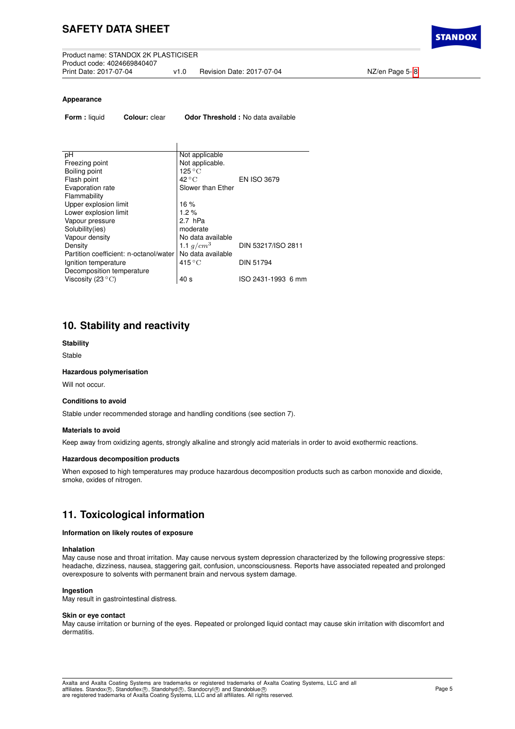**STANDO** 

### **Appearance**

**Form :** liquid **Colour:** clear **Odor Threshold :** No data available

| Not applicable            |                    |
|---------------------------|--------------------|
| Not applicable.           |                    |
| $125\,^{\circ}\mathrm{C}$ |                    |
| $42^{\circ}$ C            | <b>EN ISO 3679</b> |
| Slower than Ether         |                    |
|                           |                    |
| 16%                       |                    |
| 1.2%                      |                    |
| 2.7 hPa                   |                    |
| moderate                  |                    |
| No data available         |                    |
| 1.1 $q/cm^3$              | DIN 53217/ISO 2811 |
| No data available         |                    |
| $415^{\circ}$ C           | <b>DIN 51794</b>   |
|                           |                    |
| 40 <sub>s</sub>           | ISO 2431-1993 6 mm |
|                           |                    |

## **10. Stability and reactivity**

### **Stability**

Stable

## **Hazardous polymerisation**

Will not occur.

### **Conditions to avoid**

Stable under recommended storage and handling conditions (see section 7).

## **Materials to avoid**

Keep away from oxidizing agents, strongly alkaline and strongly acid materials in order to avoid exothermic reactions.

### **Hazardous decomposition products**

When exposed to high temperatures may produce hazardous decomposition products such as carbon monoxide and dioxide, smoke, oxides of nitrogen.

## **11. Toxicological information**

### **Information on likely routes of exposure**

#### **Inhalation**

May cause nose and throat irritation. May cause nervous system depression characterized by the following progressive steps: headache, dizziness, nausea, staggering gait, confusion, unconsciousness. Reports have associated repeated and prolonged overexposure to solvents with permanent brain and nervous system damage.

## **Ingestion**

May result in gastrointestinal distress.

#### **Skin or eye contact**

May cause irritation or burning of the eyes. Repeated or prolonged liquid contact may cause skin irritation with discomfort and dermatitis.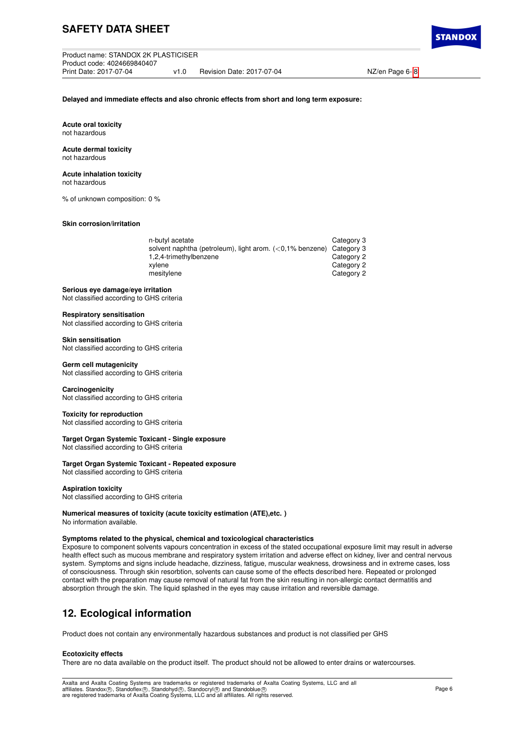Product name: STANDOX 2K PLASTICISER Product code: 4024669840407 v1.0 Revision Date: 2017-07-04 NZ/en Page 6- [8](#page-7-0)

**Delayed and immediate effects and also chronic effects from short and long term exposure:**

**Acute oral toxicity** not hazardous

**Acute dermal toxicity** not hazardous

## **Acute inhalation toxicity**

not hazardous

% of unknown composition: 0 %

**Skin corrosion/irritation**

| n-butyl acetate                                                        | Category 3 |
|------------------------------------------------------------------------|------------|
| solvent naphtha (petroleum), light arom. $(<0.1\%$ benzene) Category 3 |            |
| 1,2,4-trimethylbenzene                                                 | Category 2 |
| xvlene                                                                 | Category 2 |
| mesitylene                                                             | Category 2 |
|                                                                        |            |

### **Serious eye damage/eye irritation**

Not classified according to GHS criteria

## **Respiratory sensitisation**

Not classified according to GHS criteria

#### **Skin sensitisation**

Not classified according to GHS criteria

## **Germ cell mutagenicity**

Not classified according to GHS criteria

### **Carcinogenicity**

Not classified according to GHS criteria

## **Toxicity for reproduction**

Not classified according to GHS criteria

## **Target Organ Systemic Toxicant - Single exposure**

Not classified according to GHS criteria

## **Target Organ Systemic Toxicant - Repeated exposure**

Not classified according to GHS criteria

## **Aspiration toxicity**

Not classified according to GHS criteria

#### **Numerical measures of toxicity (acute toxicity estimation (ATE),etc. )** No information available.

## **Symptoms related to the physical, chemical and toxicological characteristics**

Exposure to component solvents vapours concentration in excess of the stated occupational exposure limit may result in adverse health effect such as mucous membrane and respiratory system irritation and adverse effect on kidney, liver and central nervous system. Symptoms and signs include headache, dizziness, fatigue, muscular weakness, drowsiness and in extreme cases, loss of consciousness. Through skin resorbtion, solvents can cause some of the effects described here. Repeated or prolonged contact with the preparation may cause removal of natural fat from the skin resulting in non-allergic contact dermatitis and absorption through the skin. The liquid splashed in the eyes may cause irritation and reversible damage.

# **12. Ecological information**

Product does not contain any environmentally hazardous substances and product is not classified per GHS

### **Ecotoxicity effects**

There are no data available on the product itself. The product should not be allowed to enter drains or watercourses.

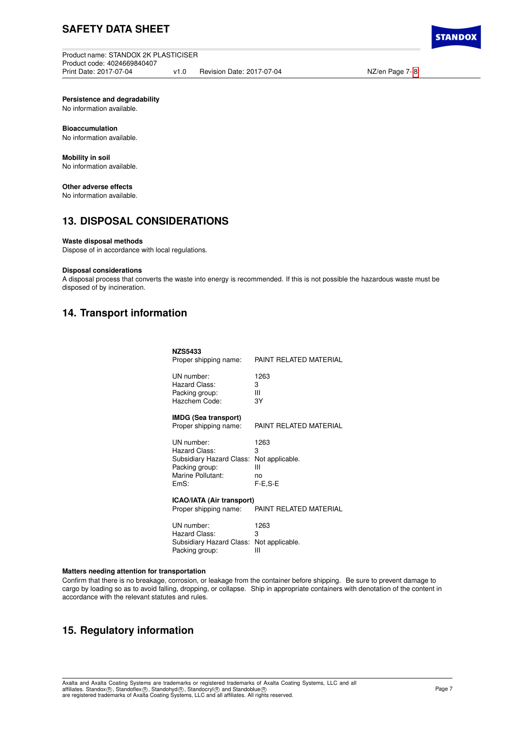Product name: STANDOX 2K PLASTICISER Product code: 4024669840407 v1.0 Revision Date: 2017-07-04 NZ/en Page 7- [8](#page-7-0)

**Persistence and degradability**

No information available.

## **Bioaccumulation**

No information available.

# **Mobility in soil**

No information available.

## **Other adverse effects**

No information available.

## **13. DISPOSAL CONSIDERATIONS**

## **Waste disposal methods**

Dispose of in accordance with local regulations.

## **Disposal considerations**

A disposal process that converts the waste into energy is recommended. If this is not possible the hazardous waste must be disposed of by incineration.

## **14. Transport information**

| <b>NZS5433</b><br>Proper shipping name:                                                                | PAINT RELATED MATERIAL                             |
|--------------------------------------------------------------------------------------------------------|----------------------------------------------------|
| UN number:<br>Hazard Class:<br>Packing group:<br>Hazchem Code:                                         | 1263<br>3<br>Ш<br>3Y                               |
| <b>IMDG (Sea transport)</b><br>Proper shipping name:                                                   | PAINT REI ATED MATERIAI                            |
| UN number:<br>Hazard Class:<br>Subsidiary Hazard Class:<br>Packing group:<br>Marine Pollutant:<br>EmS: | 1263<br>3<br>Not applicable.<br>Ш<br>no<br>F-E,S-E |
| <b>ICAO/IATA (Air transport)</b>                                                                       |                                                    |

**Proper shipping name:** PAINT RELATED MATERIAL

| UN number:                               | 1263 |
|------------------------------------------|------|
| Hazard Class:                            | з    |
| Subsidiary Hazard Class: Not applicable. |      |
| Packing group:                           | ш    |

### **Matters needing attention for transportation**

Confirm that there is no breakage, corrosion, or leakage from the container before shipping. Be sure to prevent damage to cargo by loading so as to avoid falling, dropping, or collapse. Ship in appropriate containers with denotation of the content in accordance with the relevant statutes and rules.

## **15. Regulatory information**